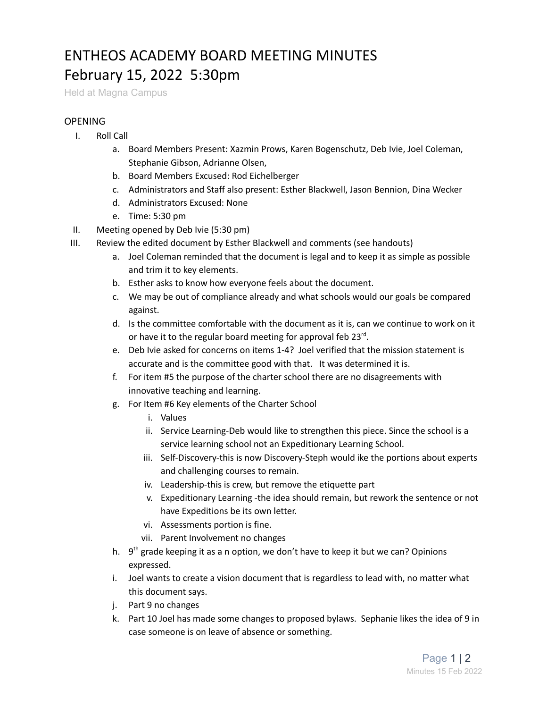## ENTHEOS ACADEMY BOARD MEETING MINUTES February 15, 2022 5:30pm

Held at Magna Campus

## **OPENING**

- I. Roll Call
	- a. Board Members Present: Xazmin Prows, Karen Bogenschutz, Deb Ivie, Joel Coleman, Stephanie Gibson, Adrianne Olsen,
	- b. Board Members Excused: Rod Eichelberger
	- c. Administrators and Staff also present: Esther Blackwell, Jason Bennion, Dina Wecker
	- d. Administrators Excused: None
	- e. Time: 5:30 pm
- II. Meeting opened by Deb Ivie (5:30 pm)
- III. Review the edited document by Esther Blackwell and comments (see handouts)
	- a. Joel Coleman reminded that the document is legal and to keep it as simple as possible and trim it to key elements.
	- b. Esther asks to know how everyone feels about the document.
	- c. We may be out of compliance already and what schools would our goals be compared against.
	- d. Is the committee comfortable with the document as it is, can we continue to work on it or have it to the regular board meeting for approval feb 23rd.
	- e. Deb Ivie asked for concerns on items 1-4? Joel verified that the mission statement is accurate and is the committee good with that. It was determined it is.
	- f. For item #5 the purpose of the charter school there are no disagreements with innovative teaching and learning.
	- g. For Item #6 Key elements of the Charter School
		- i. Values
		- ii. Service Learning-Deb would like to strengthen this piece. Since the school is a service learning school not an Expeditionary Learning School.
		- iii. Self-Discovery-this is now Discovery-Steph would ike the portions about experts and challenging courses to remain.
		- iv. Leadership-this is crew, but remove the etiquette part
		- v. Expeditionary Learning -the idea should remain, but rework the sentence or not have Expeditions be its own letter.
		- vi. Assessments portion is fine.
		- vii. Parent Involvement no changes
	- h. 9<sup>th</sup> grade keeping it as a n option, we don't have to keep it but we can? Opinions expressed.
	- i. Joel wants to create a vision document that is regardless to lead with, no matter what this document says.
	- j. Part 9 no changes
	- k. Part 10 Joel has made some changes to proposed bylaws. Sephanie likes the idea of 9 in case someone is on leave of absence or something.